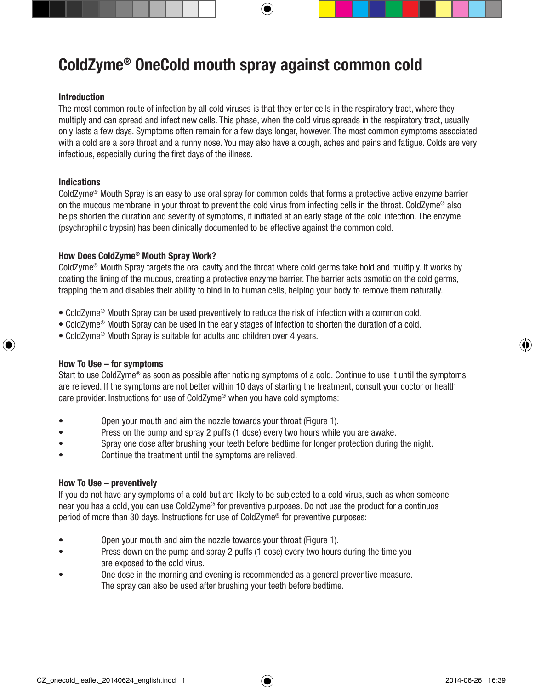# ColdZyme® OneCold mouth spray against common cold

## Introduction

The most common route of infection by all cold viruses is that they enter cells in the respiratory tract, where they multiply and can spread and infect new cells. This phase, when the cold virus spreads in the respiratory tract, usually only lasts a few days. Symptoms often remain for a few days longer, however. The most common symptoms associated with a cold are a sore throat and a runny nose. You may also have a cough, aches and pains and fatigue. Colds are very infectious, especially during the first days of the illness.

#### Indications

⊕

ColdZyme® Mouth Spray is an easy to use oral spray for common colds that forms a protective active enzyme barrier on the mucous membrane in your throat to prevent the cold virus from infecting cells in the throat. ColdZyme® also helps shorten the duration and severity of symptoms, if initiated at an early stage of the cold infection. The enzyme (psychrophilic trypsin) has been clinically documented to be effective against the common cold.

# How Does ColdZyme® Mouth Spray Work?

ColdZyme® Mouth Spray targets the oral cavity and the throat where cold germs take hold and multiply. It works by coating the lining of the mucous, creating a protective enzyme barrier. The barrier acts osmotic on the cold germs, trapping them and disables their ability to bind in to human cells, helping your body to remove them naturally.

- ColdZyme® Mouth Spray can be used preventively to reduce the risk of infection with a common cold.
- ColdZyme® Mouth Spray can be used in the early stages of infection to shorten the duration of a cold.
- ColdZyme® Mouth Spray is suitable for adults and children over 4 years.

#### How To Use – for symptoms

Start to use ColdZyme® as soon as possible after noticing symptoms of a cold. Continue to use it until the symptoms are relieved. If the symptoms are not better within 10 days of starting the treatment, consult your doctor or health care provider. Instructions for use of ColdZyme® when you have cold symptoms:

- Open your mouth and aim the nozzle towards your throat (Figure 1).
- Press on the pump and spray 2 puffs (1 dose) every two hours while you are awake.
- Spray one dose after brushing your teeth before bedtime for longer protection during the night.
- Continue the treatment until the symptoms are relieved.

## How To Use – preventively

If you do not have any symptoms of a cold but are likely to be subjected to a cold virus, such as when someone near you has a cold, you can use ColdZyme® for preventive purposes. Do not use the product for a continuos period of more than 30 days. Instructions for use of ColdZyme® for preventive purposes:

- Open your mouth and aim the nozzle towards your throat (Figure 1).
- Press down on the pump and spray 2 puffs (1 dose) every two hours during the time you are exposed to the cold virus.
- One dose in the morning and evening is recommended as a general preventive measure. The spray can also be used after brushing your teeth before bedtime.

CZ\_onecold\_leaflet\_20140624\_english.indd 1 2014-06-26 16:39

⊕